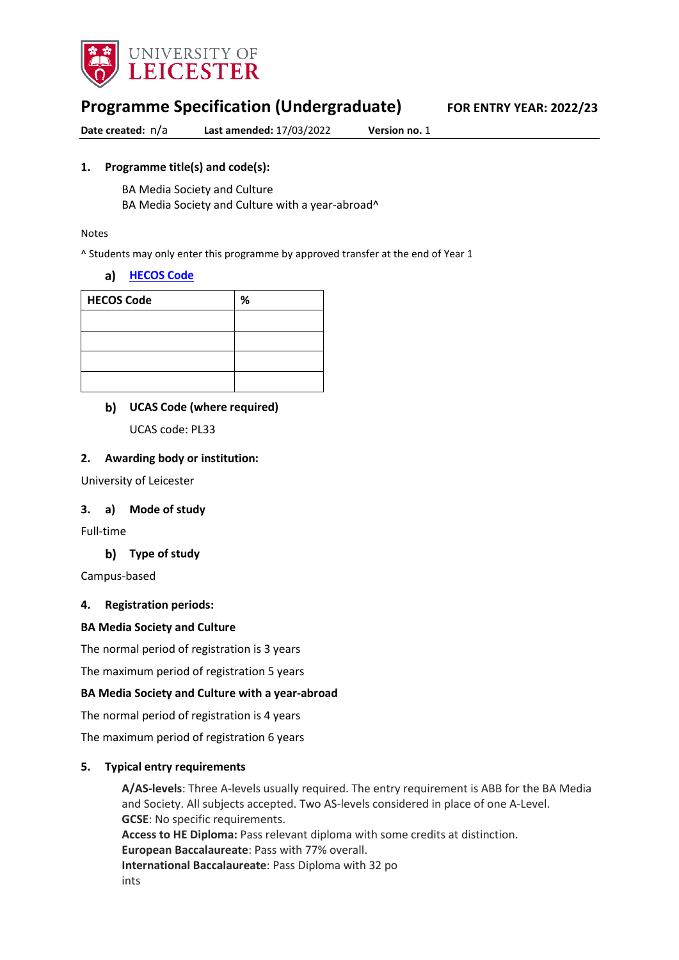

# **Programme Specification (Undergraduate) FOR ENTRY YEAR: 2022/23**

**Date created:** n/a **Last amended:** 17/03/2022 **Version no.** 1

### **1. Programme title(s) and code(s):**

BA Media Society and Culture

BA Media Society and Culture with a year-abroad^

#### Notes

^ Students may only enter this programme by approved transfer at the end of Year 1

#### **[HECOS Code](about:blank)**

| <b>HECOS Code</b> | % |
|-------------------|---|
|                   |   |
|                   |   |
|                   |   |
|                   |   |

**UCAS Code (where required)**

UCAS code: PL33

#### **2. Awarding body or institution:**

University of Leicester

#### **3. a) Mode of study**

Full-time

#### **Type of study**

Campus-based

#### **4. Registration periods:**

#### **BA Media Society and Culture**

The normal period of registration is 3 years

The maximum period of registration 5 years

#### **BA Media Society and Culture with a year-abroad**

The normal period of registration is 4 years

The maximum period of registration 6 years

#### **5. Typical entry requirements**

**A/AS-levels**: Three A-levels usually required. The entry requirement is ABB for the BA Media and Society. All subjects accepted. Two AS-levels considered in place of one A-Level. **GCSE:** No specific requirements. **Access to HE Diploma:** Pass relevant diploma with some credits at distinction. **European Baccalaureate**: Pass with 77% overall. **International Baccalaureate**: Pass Diploma with 32 po ints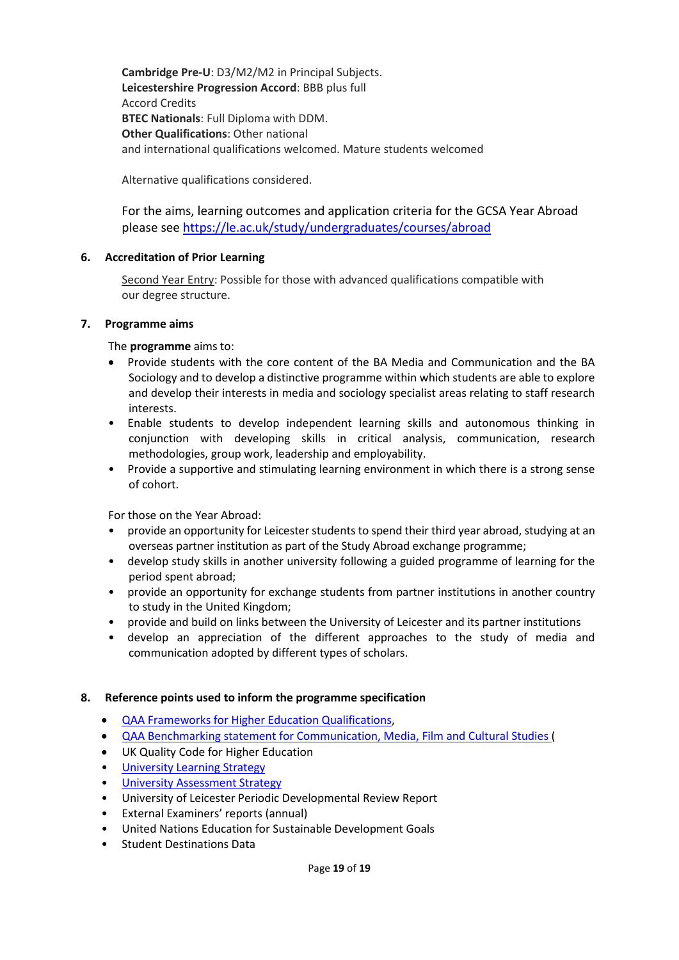**Cambridge Pre-U**: D3/M2/M2 in Principal Subjects. **Leicestershire Progression Accord**: BBB plus full Accord Credits **BTEC Nationals**: Full Diploma with DDM. **Other Qualifications**: Other national and international qualifications welcomed. Mature students welcomed

Alternative qualifications considered.

For the aims, learning outcomes and application criteria for the GCSA Year Abroad please see <https://le.ac.uk/study/undergraduates/courses/abroad>

#### **6. Accreditation of Prior Learning**

Second Year Entry: Possible for those with advanced qualifications compatible with our degree structure.

#### **7. Programme aims**

The **programme** aims to:

- Provide students with the core content of the BA Media and Communication and the BA Sociology and to develop a distinctive programme within which students are able to explore and develop their interests in media and sociology specialist areas relating to staff research interests.
- Enable students to develop independent learning skills and autonomous thinking in conjunction with developing skills in critical analysis, communication, research methodologies, group work, leadership and employability.
- Provide a supportive and stimulating learning environment in which there is a strong sense of cohort.

For those on the Year Abroad:

- provide an opportunity for Leicester students to spend their third year abroad, studying at an overseas partner institution as part of the Study Abroad exchange programme;
- develop study skills in another university following a guided programme of learning for the period spent abroad;
- provide an opportunity for exchange students from partner institutions in another country to study in the United Kingdom;
- provide and build on links between the University of Leicester and its partner institutions
- develop an appreciation of the different approaches to the study of media and communication adopted by different types of scholars.

#### **8. Reference points used to inform the programme specification**

- [QAA Frameworks for Higher Education Qualifications,](about:blank)
- [QAA Benchmarking statement for Communication, Media, Film and Cultural Studies \(](about:blank)
- UK Quality Code for Higher Education
- **University Learnin[g Strategy](about:blank)**
- [University Assessment Strategy](about:blank)
- University of Leicester Periodic Developmental Review Report
- External Examiners' reports (annual)
- United Nations Education for Sustainable Development Goals
- Student Destinations Data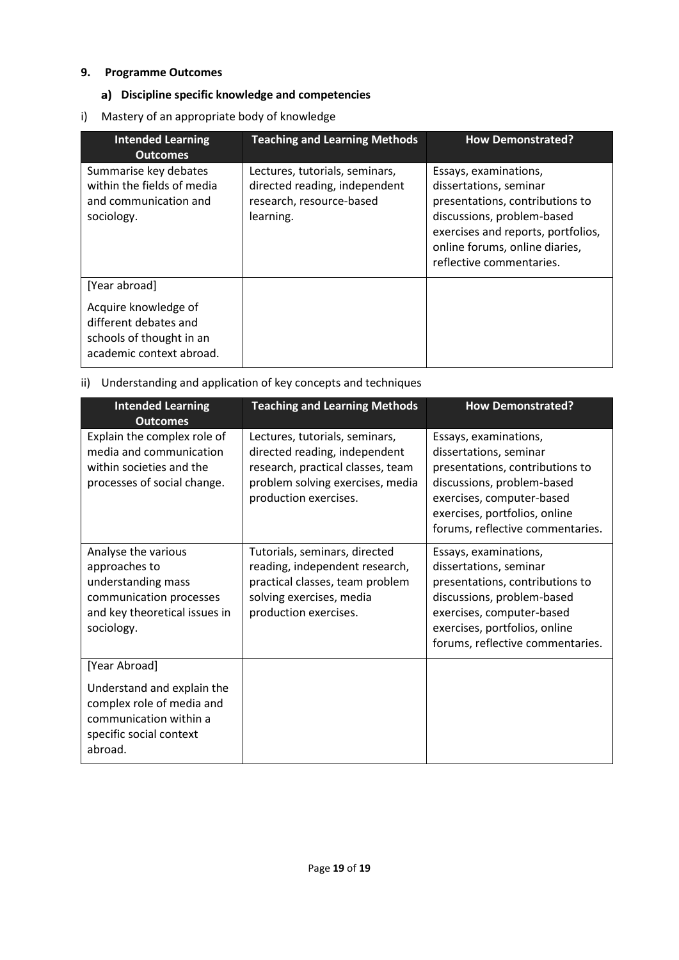### **9. Programme Outcomes**

## **Discipline specific knowledge and competencies**

i) Mastery of an appropriate body of knowledge

| <b>Intended Learning</b><br><b>Outcomes</b>                                                           | <b>Teaching and Learning Methods</b>                                                                     | <b>How Demonstrated?</b>                                                                                                                                                                                             |
|-------------------------------------------------------------------------------------------------------|----------------------------------------------------------------------------------------------------------|----------------------------------------------------------------------------------------------------------------------------------------------------------------------------------------------------------------------|
| Summarise key debates<br>within the fields of media<br>and communication and<br>sociology.            | Lectures, tutorials, seminars,<br>directed reading, independent<br>research, resource-based<br>learning. | Essays, examinations,<br>dissertations, seminar<br>presentations, contributions to<br>discussions, problem-based<br>exercises and reports, portfolios,<br>online forums, online diaries,<br>reflective commentaries. |
| [Year abroad]                                                                                         |                                                                                                          |                                                                                                                                                                                                                      |
| Acquire knowledge of<br>different debates and<br>schools of thought in an<br>academic context abroad. |                                                                                                          |                                                                                                                                                                                                                      |

## ii) Understanding and application of key concepts and techniques

| <b>Intended Learning</b><br><b>Outcomes</b>                                                                                              | <b>Teaching and Learning Methods</b>                                                                                                                              | <b>How Demonstrated?</b>                                                                                                                                                                                           |
|------------------------------------------------------------------------------------------------------------------------------------------|-------------------------------------------------------------------------------------------------------------------------------------------------------------------|--------------------------------------------------------------------------------------------------------------------------------------------------------------------------------------------------------------------|
| Explain the complex role of<br>media and communication<br>within societies and the<br>processes of social change.                        | Lectures, tutorials, seminars,<br>directed reading, independent<br>research, practical classes, team<br>problem solving exercises, media<br>production exercises. | Essays, examinations,<br>dissertations, seminar<br>presentations, contributions to<br>discussions, problem-based<br>exercises, computer-based<br>exercises, portfolios, online<br>forums, reflective commentaries. |
| Analyse the various<br>approaches to<br>understanding mass<br>communication processes<br>and key theoretical issues in<br>sociology.     | Tutorials, seminars, directed<br>reading, independent research,<br>practical classes, team problem<br>solving exercises, media<br>production exercises.           | Essays, examinations,<br>dissertations, seminar<br>presentations, contributions to<br>discussions, problem-based<br>exercises, computer-based<br>exercises, portfolios, online<br>forums, reflective commentaries. |
| [Year Abroad]<br>Understand and explain the<br>complex role of media and<br>communication within a<br>specific social context<br>abroad. |                                                                                                                                                                   |                                                                                                                                                                                                                    |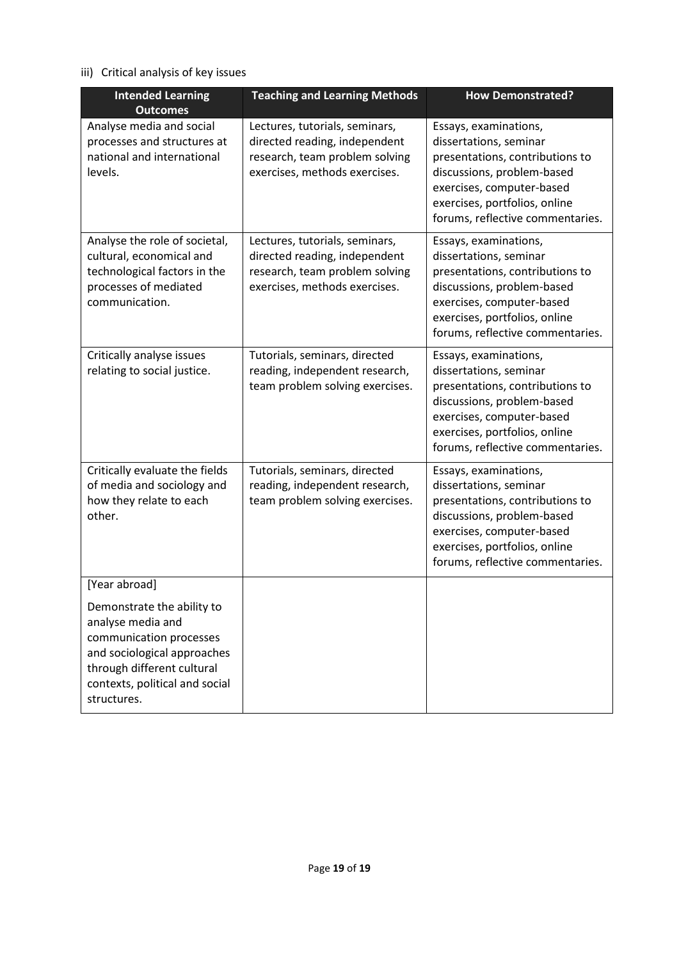# iii) Critical analysis of key issues

| <b>Intended Learning</b><br><b>Outcomes</b>                                                                                                                                                               | <b>Teaching and Learning Methods</b>                                                                                               | <b>How Demonstrated?</b>                                                                                                                                                                                           |
|-----------------------------------------------------------------------------------------------------------------------------------------------------------------------------------------------------------|------------------------------------------------------------------------------------------------------------------------------------|--------------------------------------------------------------------------------------------------------------------------------------------------------------------------------------------------------------------|
| Analyse media and social<br>processes and structures at<br>national and international<br>levels.                                                                                                          | Lectures, tutorials, seminars,<br>directed reading, independent<br>research, team problem solving<br>exercises, methods exercises. | Essays, examinations,<br>dissertations, seminar<br>presentations, contributions to<br>discussions, problem-based<br>exercises, computer-based<br>exercises, portfolios, online<br>forums, reflective commentaries. |
| Analyse the role of societal,<br>cultural, economical and<br>technological factors in the<br>processes of mediated<br>communication.                                                                      | Lectures, tutorials, seminars,<br>directed reading, independent<br>research, team problem solving<br>exercises, methods exercises. | Essays, examinations,<br>dissertations, seminar<br>presentations, contributions to<br>discussions, problem-based<br>exercises, computer-based<br>exercises, portfolios, online<br>forums, reflective commentaries. |
| Critically analyse issues<br>relating to social justice.                                                                                                                                                  | Tutorials, seminars, directed<br>reading, independent research,<br>team problem solving exercises.                                 | Essays, examinations,<br>dissertations, seminar<br>presentations, contributions to<br>discussions, problem-based<br>exercises, computer-based<br>exercises, portfolios, online<br>forums, reflective commentaries. |
| Critically evaluate the fields<br>of media and sociology and<br>how they relate to each<br>other.                                                                                                         | Tutorials, seminars, directed<br>reading, independent research,<br>team problem solving exercises.                                 | Essays, examinations,<br>dissertations, seminar<br>presentations, contributions to<br>discussions, problem-based<br>exercises, computer-based<br>exercises, portfolios, online<br>forums, reflective commentaries. |
| [Year abroad]<br>Demonstrate the ability to<br>analyse media and<br>communication processes<br>and sociological approaches<br>through different cultural<br>contexts, political and social<br>structures. |                                                                                                                                    |                                                                                                                                                                                                                    |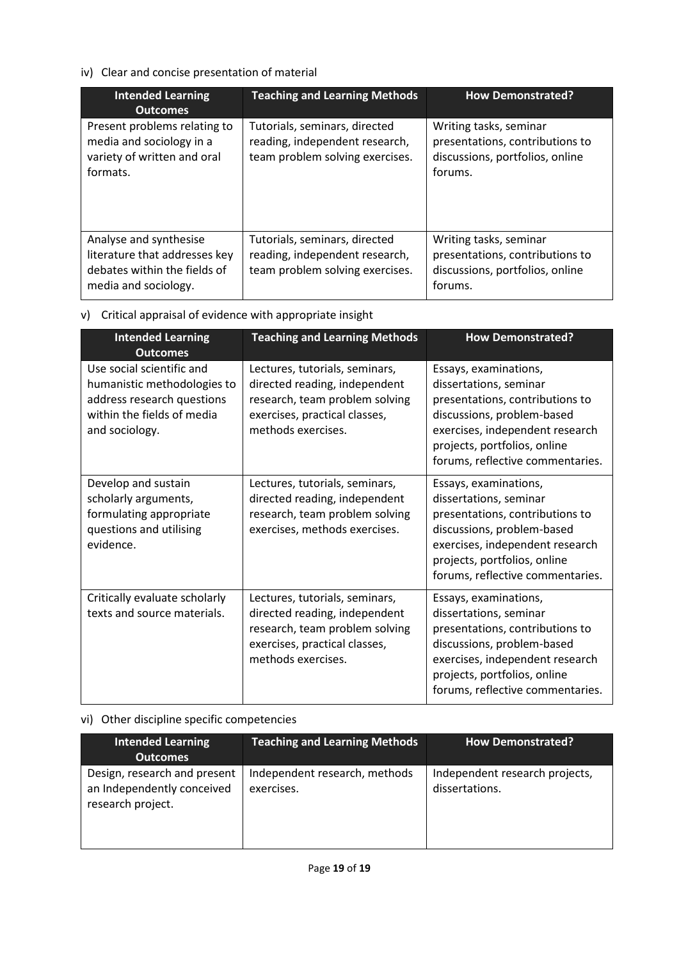## iv) Clear and concise presentation of material

| <b>Intended Learning</b><br><b>Outcomes</b>                                                                     | <b>Teaching and Learning Methods</b>                                                               | <b>How Demonstrated?</b>                                                                                |
|-----------------------------------------------------------------------------------------------------------------|----------------------------------------------------------------------------------------------------|---------------------------------------------------------------------------------------------------------|
| Present problems relating to<br>media and sociology in a<br>variety of written and oral<br>formats.             | Tutorials, seminars, directed<br>reading, independent research,<br>team problem solving exercises. | Writing tasks, seminar<br>presentations, contributions to<br>discussions, portfolios, online<br>forums. |
| Analyse and synthesise<br>literature that addresses key<br>debates within the fields of<br>media and sociology. | Tutorials, seminars, directed<br>reading, independent research,<br>team problem solving exercises. | Writing tasks, seminar<br>presentations, contributions to<br>discussions, portfolios, online<br>forums. |

## v) Critical appraisal of evidence with appropriate insight

| <b>Intended Learning</b>                                                                                                                                  | <b>Teaching and Learning Methods</b>                                                                                                                     | <b>How Demonstrated?</b>                                                                                                                                                                                                |
|-----------------------------------------------------------------------------------------------------------------------------------------------------------|----------------------------------------------------------------------------------------------------------------------------------------------------------|-------------------------------------------------------------------------------------------------------------------------------------------------------------------------------------------------------------------------|
| <b>Outcomes</b><br>Use social scientific and<br>humanistic methodologies to<br>address research questions<br>within the fields of media<br>and sociology. | Lectures, tutorials, seminars,<br>directed reading, independent<br>research, team problem solving<br>exercises, practical classes,<br>methods exercises. | Essays, examinations,<br>dissertations, seminar<br>presentations, contributions to<br>discussions, problem-based<br>exercises, independent research<br>projects, portfolios, online<br>forums, reflective commentaries. |
| Develop and sustain<br>scholarly arguments,<br>formulating appropriate<br>questions and utilising<br>evidence.                                            | Lectures, tutorials, seminars,<br>directed reading, independent<br>research, team problem solving<br>exercises, methods exercises.                       | Essays, examinations,<br>dissertations, seminar<br>presentations, contributions to<br>discussions, problem-based<br>exercises, independent research<br>projects, portfolios, online<br>forums, reflective commentaries. |
| Critically evaluate scholarly<br>texts and source materials.                                                                                              | Lectures, tutorials, seminars,<br>directed reading, independent<br>research, team problem solving<br>exercises, practical classes,<br>methods exercises. | Essays, examinations,<br>dissertations, seminar<br>presentations, contributions to<br>discussions, problem-based<br>exercises, independent research<br>projects, portfolios, online<br>forums, reflective commentaries. |

# vi) Other discipline specific competencies

| Intended Learning<br><b>Outcomes</b>                                            | <b>Teaching and Learning Methods</b>        | <b>How Demonstrated?</b>                         |
|---------------------------------------------------------------------------------|---------------------------------------------|--------------------------------------------------|
| Design, research and present<br>an Independently conceived<br>research project. | Independent research, methods<br>exercises. | Independent research projects,<br>dissertations. |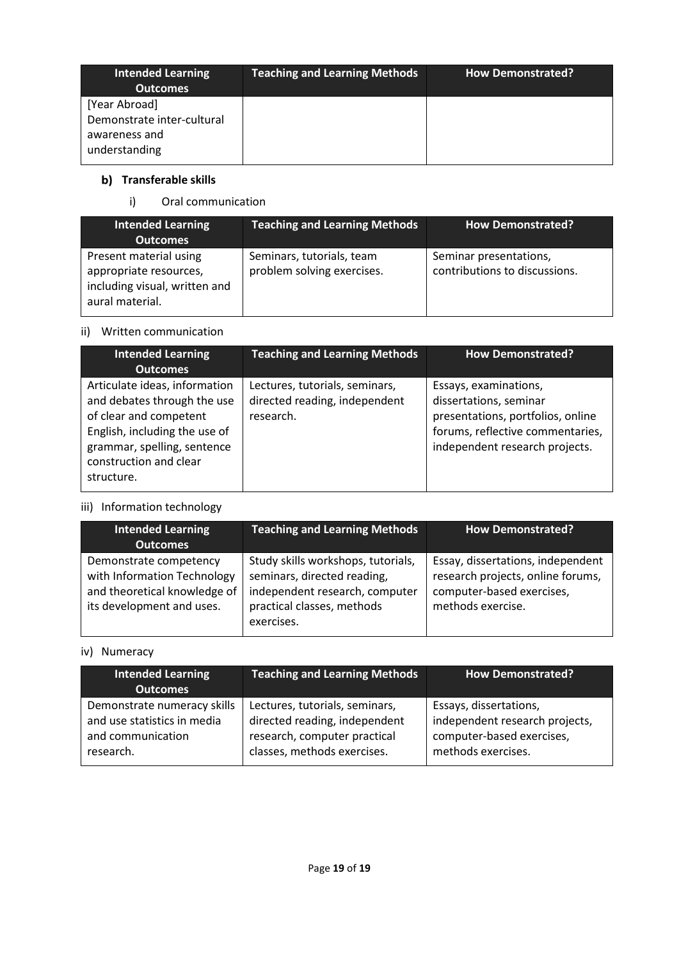| <b>Intended Learning</b><br><b>Outcomes</b>                                   | <b>Teaching and Learning Methods</b> | <b>How Demonstrated?</b> |
|-------------------------------------------------------------------------------|--------------------------------------|--------------------------|
| [Year Abroad]<br>Demonstrate inter-cultural<br>awareness and<br>understanding |                                      |                          |

# **b)** Transferable skills

i) Oral communication

| <b>Intended Learning</b><br><b>Outcomes</b>                                                          | <b>Teaching and Learning Methods</b>                    | <b>How Demonstrated?</b>                                |
|------------------------------------------------------------------------------------------------------|---------------------------------------------------------|---------------------------------------------------------|
| Present material using<br>appropriate resources,<br>including visual, written and<br>aural material. | Seminars, tutorials, team<br>problem solving exercises. | Seminar presentations,<br>contributions to discussions. |

## ii) Written communication

| <b>Intended Learning</b><br><b>Outcomes</b>                                                                                                                                                    | <b>Teaching and Learning Methods</b>                                         | <b>How Demonstrated?</b>                                                                                                                                   |
|------------------------------------------------------------------------------------------------------------------------------------------------------------------------------------------------|------------------------------------------------------------------------------|------------------------------------------------------------------------------------------------------------------------------------------------------------|
| Articulate ideas, information<br>and debates through the use<br>of clear and competent<br>English, including the use of<br>grammar, spelling, sentence<br>construction and clear<br>structure. | Lectures, tutorials, seminars,<br>directed reading, independent<br>research. | Essays, examinations,<br>dissertations, seminar<br>presentations, portfolios, online<br>forums, reflective commentaries,<br>independent research projects. |

# iii) Information technology

| <b>Intended Learning</b><br><b>Outcomes</b>                                                                        | <b>Teaching and Learning Methods</b>                                                                                                            | <b>How Demonstrated?</b>                                                                                                 |
|--------------------------------------------------------------------------------------------------------------------|-------------------------------------------------------------------------------------------------------------------------------------------------|--------------------------------------------------------------------------------------------------------------------------|
| Demonstrate competency<br>with Information Technology<br>and theoretical knowledge of<br>its development and uses. | Study skills workshops, tutorials,<br>seminars, directed reading,<br>independent research, computer<br>practical classes, methods<br>exercises. | Essay, dissertations, independent<br>research projects, online forums,<br>computer-based exercises,<br>methods exercise. |

# iv) Numeracy

| <b>Intended Learning</b><br><b>Outcomes</b> | <b>Teaching and Learning Methods</b> | <b>How Demonstrated?</b>       |
|---------------------------------------------|--------------------------------------|--------------------------------|
| Demonstrate numeracy skills                 | Lectures, tutorials, seminars,       | Essays, dissertations,         |
| and use statistics in media                 | directed reading, independent        | independent research projects, |
| and communication                           | research, computer practical         | computer-based exercises,      |
| research.                                   | classes, methods exercises.          | methods exercises.             |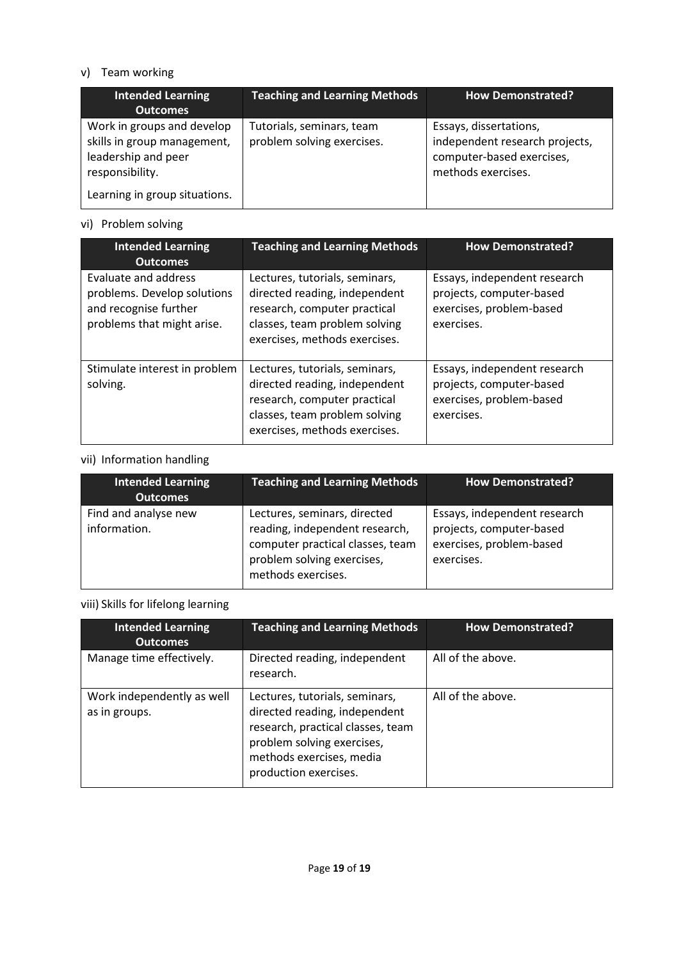## v) Team working

| <b>Intended Learning</b><br><b>Outcomes</b>                                                                                          | <b>Teaching and Learning Methods</b>                    | <b>How Demonstrated?</b>                                                                                    |
|--------------------------------------------------------------------------------------------------------------------------------------|---------------------------------------------------------|-------------------------------------------------------------------------------------------------------------|
| Work in groups and develop<br>skills in group management,<br>leadership and peer<br>responsibility.<br>Learning in group situations. | Tutorials, seminars, team<br>problem solving exercises. | Essays, dissertations,<br>independent research projects,<br>computer-based exercises,<br>methods exercises. |

# vi) Problem solving

| <b>Intended Learning</b><br><b>Outcomes</b>                                                                | <b>Teaching and Learning Methods</b>                                                                                                                              | <b>How Demonstrated?</b>                                                                           |
|------------------------------------------------------------------------------------------------------------|-------------------------------------------------------------------------------------------------------------------------------------------------------------------|----------------------------------------------------------------------------------------------------|
| Evaluate and address<br>problems. Develop solutions<br>and recognise further<br>problems that might arise. | Lectures, tutorials, seminars,<br>directed reading, independent<br>research, computer practical<br>classes, team problem solving<br>exercises, methods exercises. | Essays, independent research<br>projects, computer-based<br>exercises, problem-based<br>exercises. |
| Stimulate interest in problem<br>solving.                                                                  | Lectures, tutorials, seminars,<br>directed reading, independent<br>research, computer practical<br>classes, team problem solving<br>exercises, methods exercises. | Essays, independent research<br>projects, computer-based<br>exercises, problem-based<br>exercises. |

## vii) Information handling

| <b>Intended Learning</b><br><b>Outcomes</b> | <b>Teaching and Learning Methods</b>                                                                                                                   | <b>How Demonstrated?</b>                                                                           |
|---------------------------------------------|--------------------------------------------------------------------------------------------------------------------------------------------------------|----------------------------------------------------------------------------------------------------|
| Find and analyse new<br>information.        | Lectures, seminars, directed<br>reading, independent research,<br>computer practical classes, team<br>problem solving exercises,<br>methods exercises. | Essays, independent research<br>projects, computer-based<br>exercises, problem-based<br>exercises. |

## viii) Skills for lifelong learning

| <b>Intended Learning</b><br><b>Outcomes</b> | <b>Teaching and Learning Methods</b>                                                                                                                                                    | <b>How Demonstrated?</b> |
|---------------------------------------------|-----------------------------------------------------------------------------------------------------------------------------------------------------------------------------------------|--------------------------|
| Manage time effectively.                    | Directed reading, independent<br>research.                                                                                                                                              | All of the above.        |
| Work independently as well<br>as in groups. | Lectures, tutorials, seminars,<br>directed reading, independent<br>research, practical classes, team<br>problem solving exercises,<br>methods exercises, media<br>production exercises. | All of the above.        |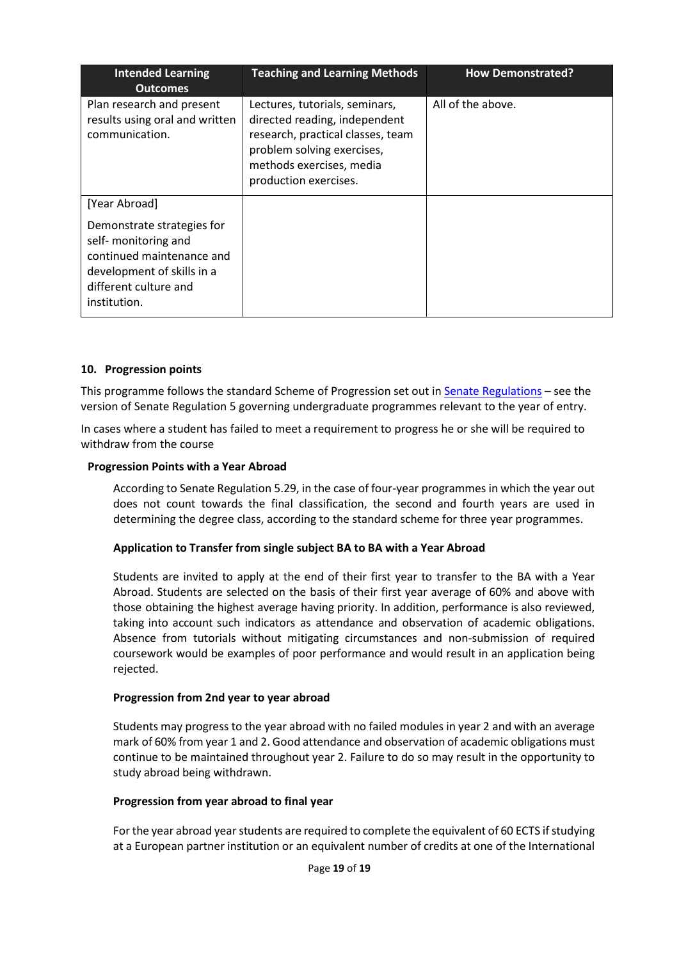| <b>Intended Learning</b><br><b>Outcomes</b>                                                                                                            | <b>Teaching and Learning Methods</b>                                                                                                                                                    | <b>How Demonstrated?</b> |
|--------------------------------------------------------------------------------------------------------------------------------------------------------|-----------------------------------------------------------------------------------------------------------------------------------------------------------------------------------------|--------------------------|
| Plan research and present<br>results using oral and written<br>communication.                                                                          | Lectures, tutorials, seminars,<br>directed reading, independent<br>research, practical classes, team<br>problem solving exercises,<br>methods exercises, media<br>production exercises. | All of the above.        |
| [Year Abroad]                                                                                                                                          |                                                                                                                                                                                         |                          |
| Demonstrate strategies for<br>self- monitoring and<br>continued maintenance and<br>development of skills in a<br>different culture and<br>institution. |                                                                                                                                                                                         |                          |

#### **10. Progression points**

This programme follows the standard Scheme of Progression set out i[n Senate Regulations](about:blank) - see the version of Senate Regulation 5 governing undergraduate programmes relevant to the year of entry.

In cases where a student has failed to meet a requirement to progress he or she will be required to withdraw from the course

#### **Progression Points with a Year Abroad**

According to Senate Regulation 5.29, in the case of four-year programmes in which the year out does not count towards the final classification, the second and fourth years are used in determining the degree class, according to the standard scheme for three year programmes.

#### **Application to Transfer from single subject BA to BA with a Year Abroad**

Students are invited to apply at the end of their first year to transfer to the BA with a Year Abroad. Students are selected on the basis of their first year average of 60% and above with those obtaining the highest average having priority. In addition, performance is also reviewed, taking into account such indicators as attendance and observation of academic obligations. Absence from tutorials without mitigating circumstances and non-submission of required coursework would be examples of poor performance and would result in an application being rejected.

#### **Progression from 2nd year to year abroad**

Students may progress to the year abroad with no failed modules in year 2 and with an average mark of 60% from year 1 and 2. Good attendance and observation of academic obligations must continue to be maintained throughout year 2. Failure to do so may result in the opportunity to study abroad being withdrawn.

#### **Progression from year abroad to final year**

For the year abroad year students are required to complete the equivalent of 60 ECTS if studying at a European partner institution or an equivalent number of credits at one of the International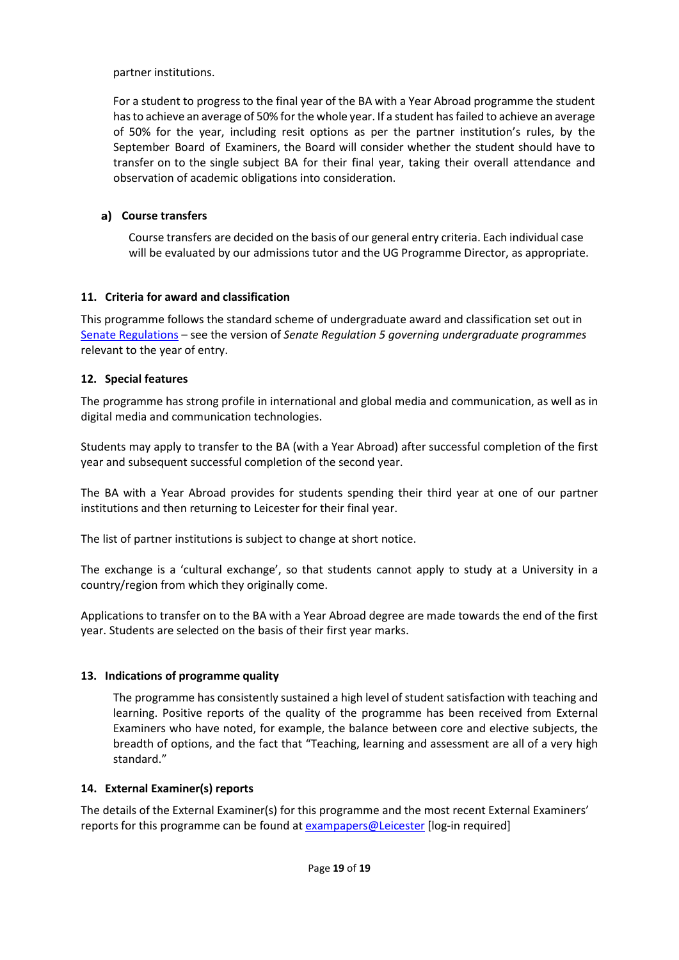partner institutions.

For a student to progress to the final year of the BA with a Year Abroad programme the student hasto achieve an average of 50% for the whole year. If a student has failed to achieve an average of 50% for the year, including resit options as per the partner institution's rules, by the September Board of Examiners, the Board will consider whether the student should have to transfer on to the single subject BA for their final year, taking their overall attendance and observation of academic obligations into consideration.

## **Course transfers**

Course transfers are decided on the basis of our general entry criteria. Each individual case will be evaluated by our admissions tutor and the UG Programme Director, as appropriate.

## **11. Criteria for award and classification**

This programme follows the standard scheme of undergraduate award and classification set out in [Senate Regulations](about:blank) – see the version of *Senate Regulation 5 governing undergraduate programmes* relevant to the year of entry.

## **12. Special features**

The programme has strong profile in international and global media and communication, as well as in digital media and communication technologies.

Students may apply to transfer to the BA (with a Year Abroad) after successful completion of the first year and subsequent successful completion of the second year.

The BA with a Year Abroad provides for students spending their third year at one of our partner institutions and then returning to Leicester for their final year.

The list of partner institutions is subject to change at short notice.

The exchange is a 'cultural exchange', so that students cannot apply to study at a University in a country/region from which they originally come.

Applications to transfer on to the BA with a Year Abroad degree are made towards the end of the first year. Students are selected on the basis of their first year marks.

# **13. Indications of programme quality**

The programme has consistently sustained a high level of student satisfaction with teaching and learning. Positive reports of the quality of the programme has been received from External Examiners who have noted, for example, the balance between core and elective subjects, the breadth of options, and the fact that "Teaching, learning and assessment are all of a very high standard."

## **14. External Examiner(s) reports**

The details of the External Examiner(s) for this programme and the most recent External Examiners' reports for this programme can be found at **[exampapers@Leicester](about:blank)** [log-in required]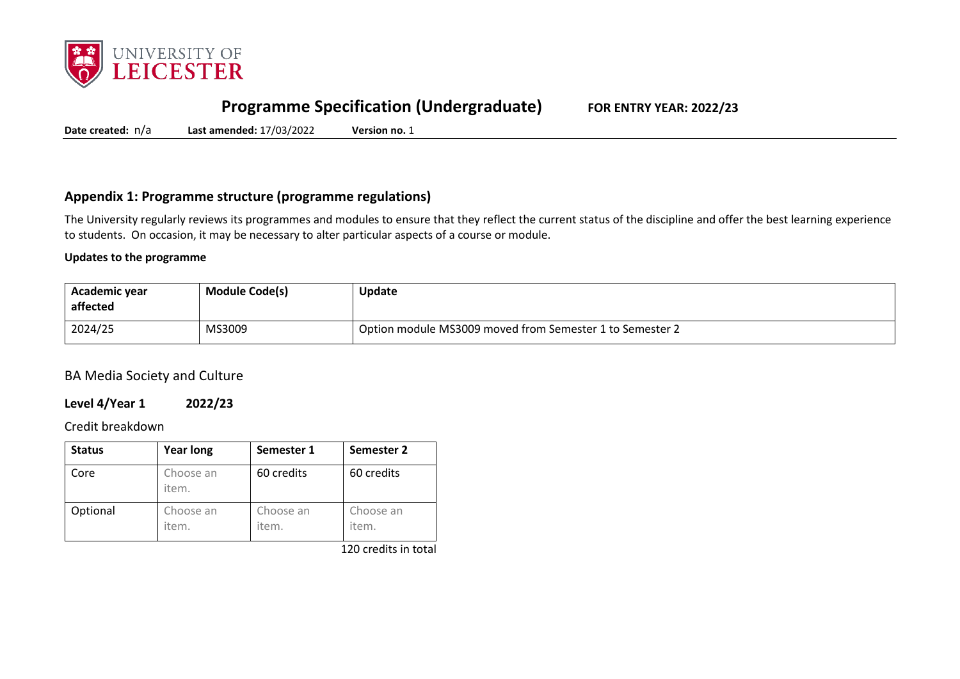

# **Programme Specification (Undergraduate) FOR ENTRY YEAR: 2022/23**

**Date created:** n/a **Last amended:** 17/03/2022 **Version no.** 1

## **Appendix 1: Programme structure (programme regulations)**

The University regularly reviews its programmes and modules to ensure that they reflect the current status of the discipline and offer the best learning experience to students. On occasion, it may be necessary to alter particular aspects of a course or module.

#### **Updates to the programme**

| Academic year<br>affected | <b>Module Code(s)</b> | Update                                                   |
|---------------------------|-----------------------|----------------------------------------------------------|
| 2024/25                   | MS3009                | Option module MS3009 moved from Semester 1 to Semester 2 |

BA Media Society and Culture

### **Level 4/Year 1 2022/23**

#### Credit breakdown

| <b>Status</b> | <b>Year long</b>   | Semester 1         | Semester 2         |
|---------------|--------------------|--------------------|--------------------|
| Core          | Choose an<br>item. | 60 credits         | 60 credits         |
| Optional      | Choose an<br>item. | Choose an<br>item. | Choose an<br>item. |

120 credits in total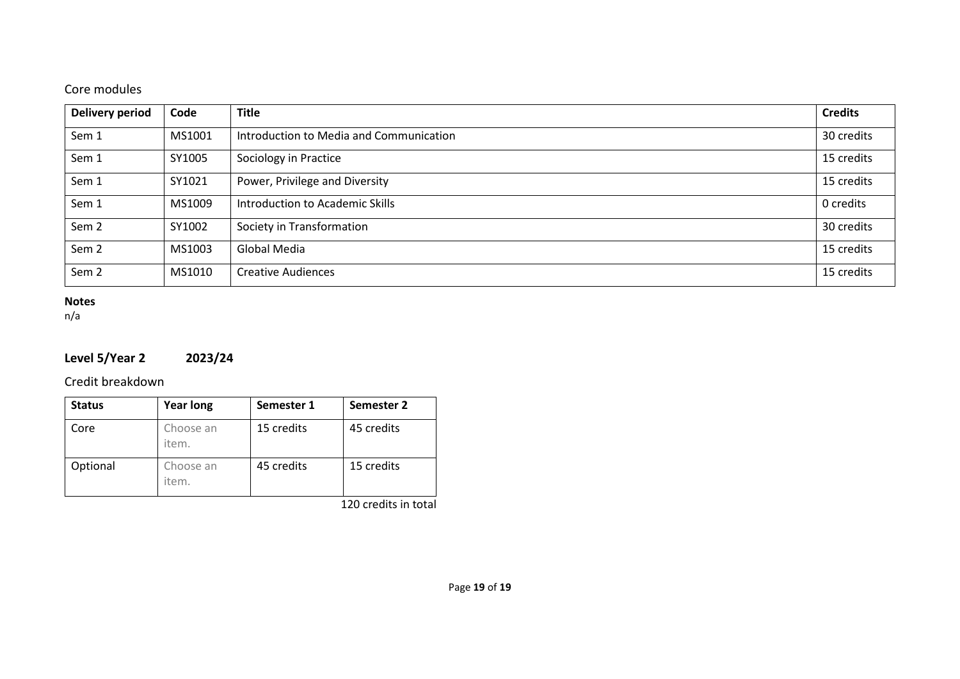## Core modules

| <b>Delivery period</b> | Code   | <b>Title</b>                            | <b>Credits</b> |
|------------------------|--------|-----------------------------------------|----------------|
| Sem 1                  | MS1001 | Introduction to Media and Communication | 30 credits     |
| Sem 1                  | SY1005 | Sociology in Practice                   | 15 credits     |
| Sem 1                  | SY1021 | Power, Privilege and Diversity          | 15 credits     |
| Sem 1                  | MS1009 | Introduction to Academic Skills         | 0 credits      |
| Sem <sub>2</sub>       | SY1002 | Society in Transformation               | 30 credits     |
| Sem <sub>2</sub>       | MS1003 | Global Media                            | 15 credits     |
| Sem <sub>2</sub>       | MS1010 | <b>Creative Audiences</b>               | 15 credits     |

## **Notes**

n/a

# **Level 5/Year 2 2023/24**

## Credit breakdown

| <b>Status</b> | <b>Year long</b>   | Semester 1 | Semester 2 |
|---------------|--------------------|------------|------------|
| Core          | Choose an<br>item. | 15 credits | 45 credits |
| Optional      | Choose an<br>item. | 45 credits | 15 credits |

120 credits in total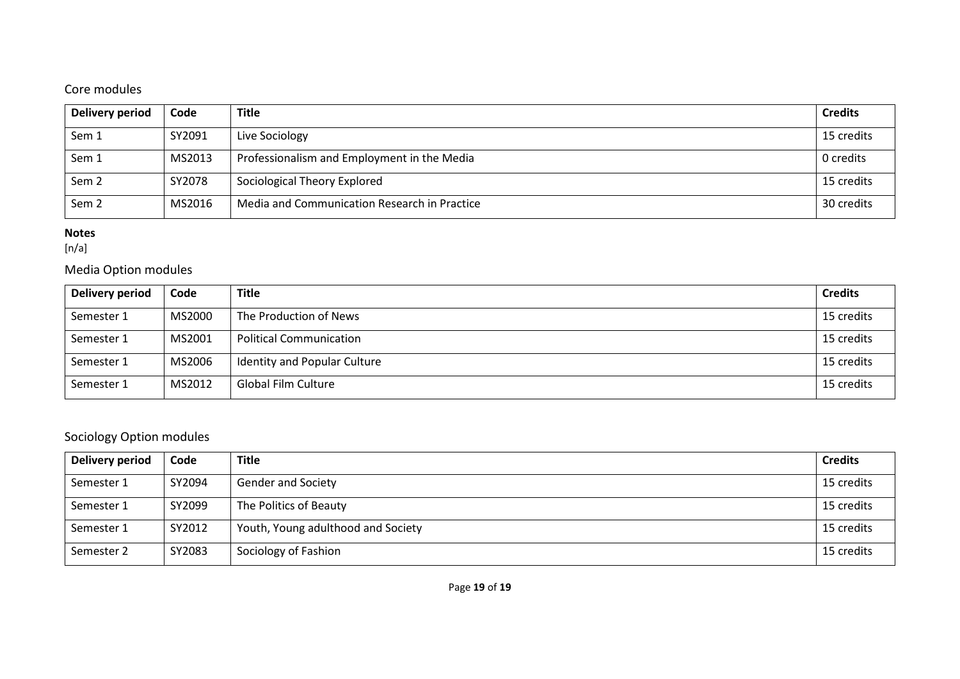# Core modules

| Delivery period  | Code   | <b>Title</b>                                 | <b>Credits</b> |
|------------------|--------|----------------------------------------------|----------------|
| Sem 1            | SY2091 | Live Sociology                               | 15 credits     |
| Sem 1            | MS2013 | Professionalism and Employment in the Media  | 0 credits      |
| Sem <sub>2</sub> | SY2078 | Sociological Theory Explored                 | 15 credits     |
| Sem <sub>2</sub> | MS2016 | Media and Communication Research in Practice | 30 credits     |

## **Notes**

[n/a]

# Media Option modules

| Delivery period | Code   | <b>Title</b>                   | <b>Credits</b> |
|-----------------|--------|--------------------------------|----------------|
| Semester 1      | MS2000 | The Production of News         | 15 credits     |
| Semester 1      | MS2001 | <b>Political Communication</b> | 15 credits     |
| Semester 1      | MS2006 | Identity and Popular Culture   | 15 credits     |
| Semester 1      | MS2012 | Global Film Culture            | 15 credits     |

# Sociology Option modules

| Delivery period | Code   | <b>Title</b>                       | <b>Credits</b> |
|-----------------|--------|------------------------------------|----------------|
| Semester 1      | SY2094 | <b>Gender and Society</b>          | 15 credits     |
| Semester 1      | SY2099 | The Politics of Beauty             | 15 credits     |
| Semester 1      | SY2012 | Youth, Young adulthood and Society | 15 credits     |
| Semester 2      | SY2083 | Sociology of Fashion               | 15 credits     |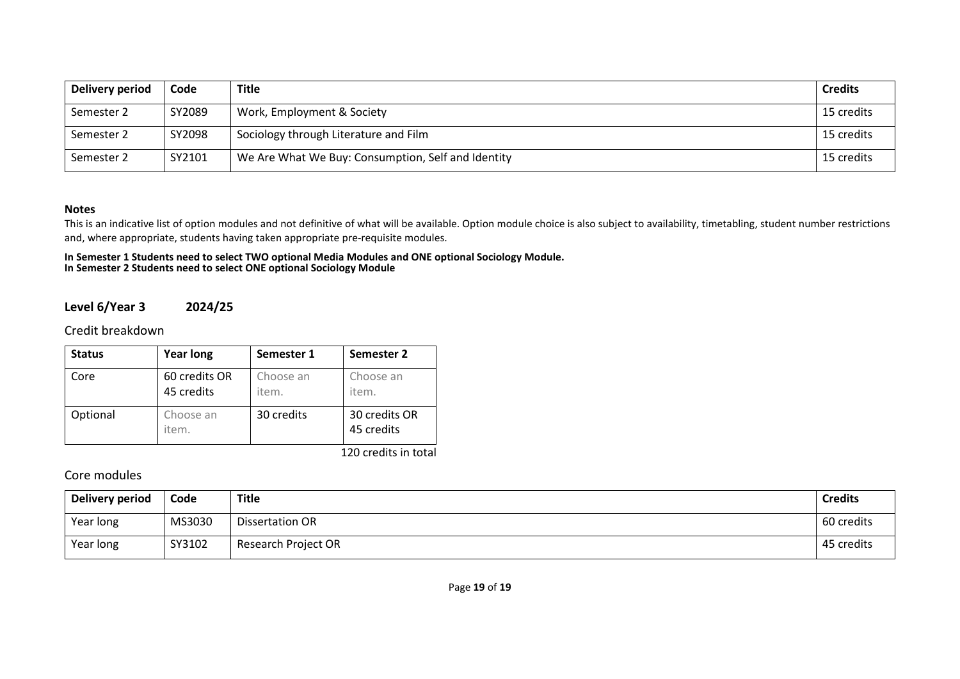| Delivery period | Code   | <b>Title</b>                                       | <b>Credits</b> |
|-----------------|--------|----------------------------------------------------|----------------|
| Semester 2      | SY2089 | Work, Employment & Society                         | 15 credits     |
| Semester 2      | SY2098 | Sociology through Literature and Film              | 15 credits     |
| Semester 2      | SY2101 | We Are What We Buy: Consumption, Self and Identity | 15 credits     |

#### **Notes**

This is an indicative list of option modules and not definitive of what will be available. Option module choice is also subject to availability, timetabling, student number restrictions and, where appropriate, students having taken appropriate pre-requisite modules.

#### **In Semester 1 Students need to select TWO optional Media Modules and ONE optional Sociology Module. In Semester 2 Students need to select ONE optional Sociology Module**

### **Level 6/Year 3 2024/25**

Credit breakdown

| <b>Status</b> | <b>Year long</b>            | Semester 1         | Semester 2                  |
|---------------|-----------------------------|--------------------|-----------------------------|
| Core          | 60 credits OR<br>45 credits | Choose an<br>item. | Choose an<br>item.          |
| Optional      | Choose an<br>item.          | 30 credits         | 30 credits OR<br>45 credits |

120 credits in total

## Core modules

| Delivery period | Code   | <b>Title</b>        | <b>Credits</b> |
|-----------------|--------|---------------------|----------------|
| Year long       | MS3030 | Dissertation OR     | 60 credits     |
| Year long       | SY3102 | Research Project OR | 45 credits     |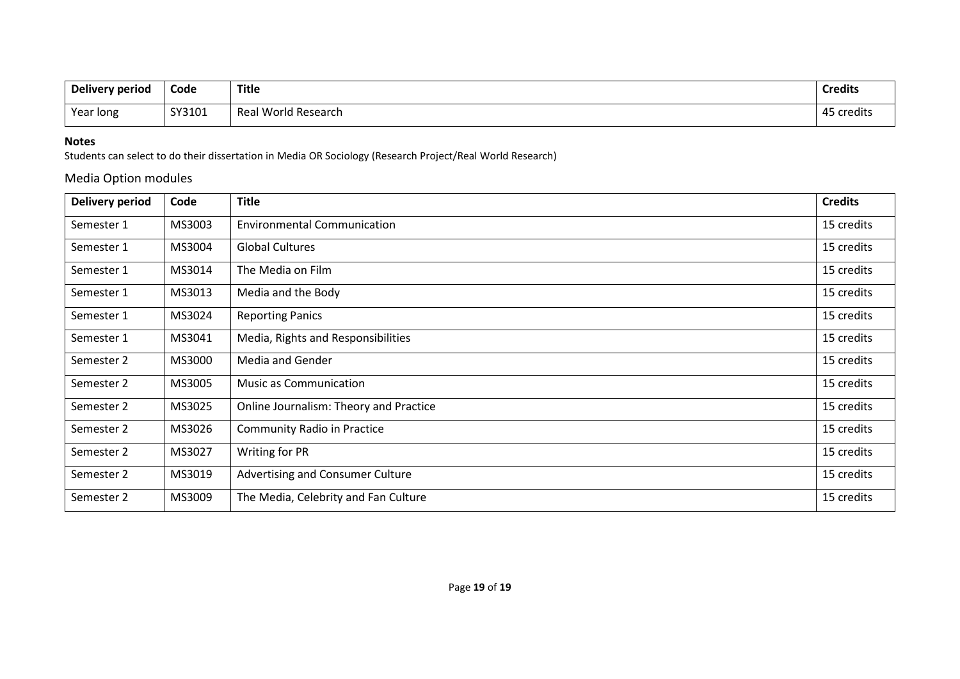| Delivery period | Code   | <b>Title</b>        | <b>Credits</b> |
|-----------------|--------|---------------------|----------------|
| Year long       | SY3101 | Real World Research | 45 credits     |

#### **Notes**

Students can select to do their dissertation in Media OR Sociology (Research Project/Real World Research)

## Media Option modules

| Delivery period | Code   | <b>Title</b>                            | <b>Credits</b> |
|-----------------|--------|-----------------------------------------|----------------|
| Semester 1      | MS3003 | <b>Environmental Communication</b>      | 15 credits     |
| Semester 1      | MS3004 | <b>Global Cultures</b>                  | 15 credits     |
| Semester 1      | MS3014 | The Media on Film                       | 15 credits     |
| Semester 1      | MS3013 | Media and the Body                      | 15 credits     |
| Semester 1      | MS3024 | <b>Reporting Panics</b>                 | 15 credits     |
| Semester 1      | MS3041 | Media, Rights and Responsibilities      | 15 credits     |
| Semester 2      | MS3000 | <b>Media and Gender</b>                 | 15 credits     |
| Semester 2      | MS3005 | <b>Music as Communication</b>           | 15 credits     |
| Semester 2      | MS3025 | Online Journalism: Theory and Practice  | 15 credits     |
| Semester 2      | MS3026 | <b>Community Radio in Practice</b>      | 15 credits     |
| Semester 2      | MS3027 | Writing for PR                          | 15 credits     |
| Semester 2      | MS3019 | <b>Advertising and Consumer Culture</b> | 15 credits     |
| Semester 2      | MS3009 | The Media, Celebrity and Fan Culture    | 15 credits     |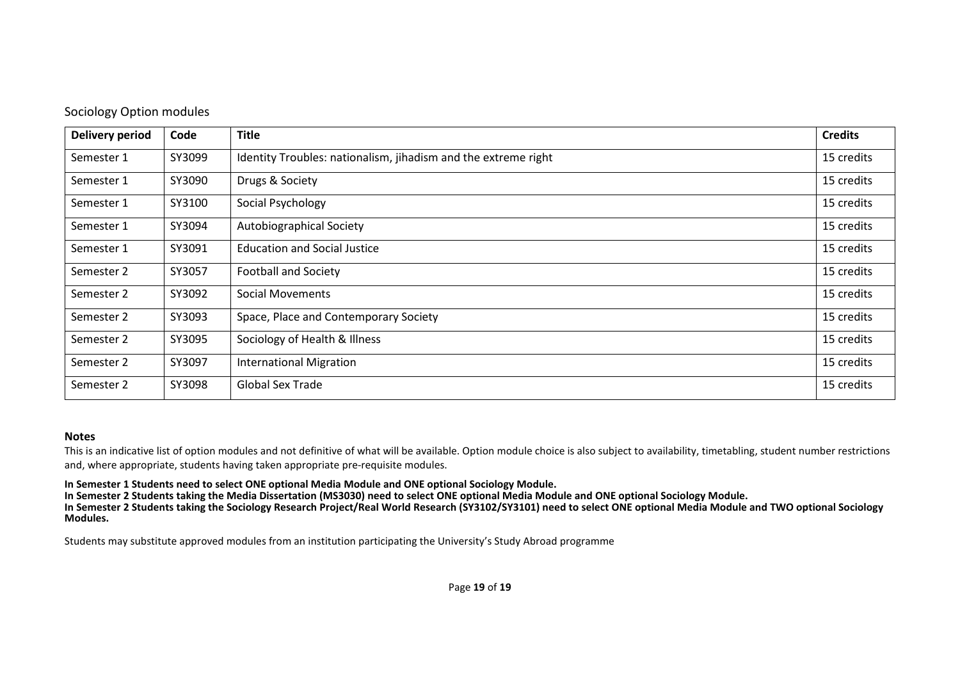| Delivery period | Code   | <b>Title</b>                                                   | <b>Credits</b> |
|-----------------|--------|----------------------------------------------------------------|----------------|
| Semester 1      | SY3099 | Identity Troubles: nationalism, jihadism and the extreme right | 15 credits     |
| Semester 1      | SY3090 | Drugs & Society                                                | 15 credits     |
| Semester 1      | SY3100 | Social Psychology                                              | 15 credits     |
| Semester 1      | SY3094 | Autobiographical Society                                       | 15 credits     |
| Semester 1      | SY3091 | <b>Education and Social Justice</b>                            | 15 credits     |
| Semester 2      | SY3057 | <b>Football and Society</b>                                    | 15 credits     |
| Semester 2      | SY3092 | <b>Social Movements</b>                                        | 15 credits     |
| Semester 2      | SY3093 | Space, Place and Contemporary Society                          | 15 credits     |
| Semester 2      | SY3095 | Sociology of Health & Illness                                  | 15 credits     |
| Semester 2      | SY3097 | <b>International Migration</b>                                 | 15 credits     |
| Semester 2      | SY3098 | <b>Global Sex Trade</b>                                        | 15 credits     |

#### **Notes**

This is an indicative list of option modules and not definitive of what will be available. Option module choice is also subject to availability, timetabling, student number restrictions and, where appropriate, students having taken appropriate pre-requisite modules.

**In Semester 1 Students need to select ONE optional Media Module and ONE optional Sociology Module.**

**In Semester 2 Students taking the Media Dissertation (MS3030) need to select ONE optional Media Module and ONE optional Sociology Module.**

**In Semester 2 Students taking the Sociology Research Project/Real World Research (SY3102/SY3101) need to select ONE optional Media Module and TWO optional Sociology Modules.**

Students may substitute approved modules from an institution participating the University's Study Abroad programme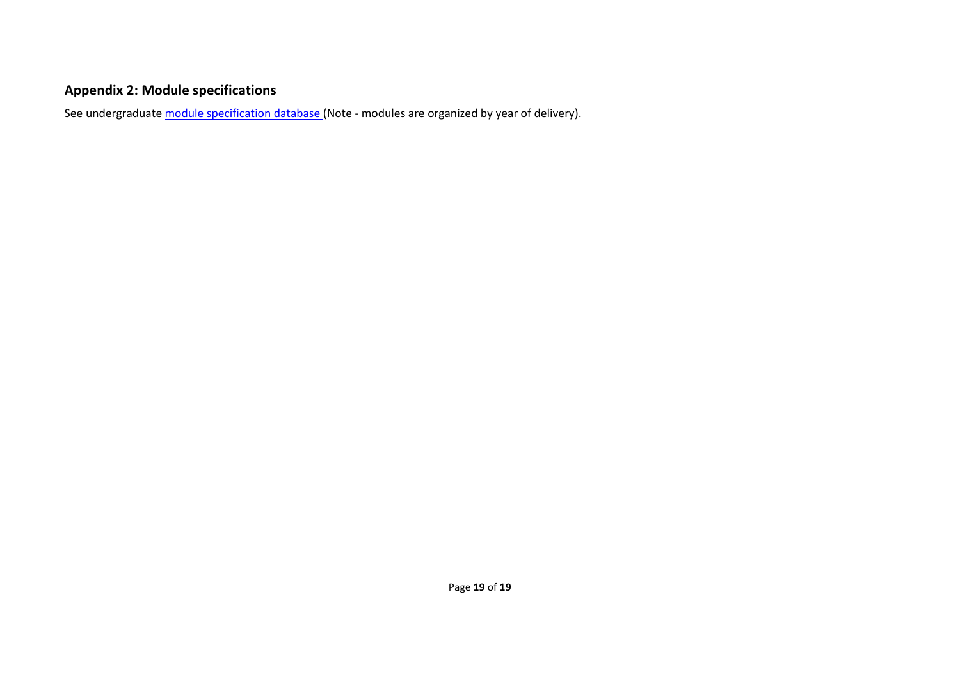# **Appendix 2: Module specifications**

See undergraduat[e module specification database](about:blank) (Note - modules are organized by year of delivery).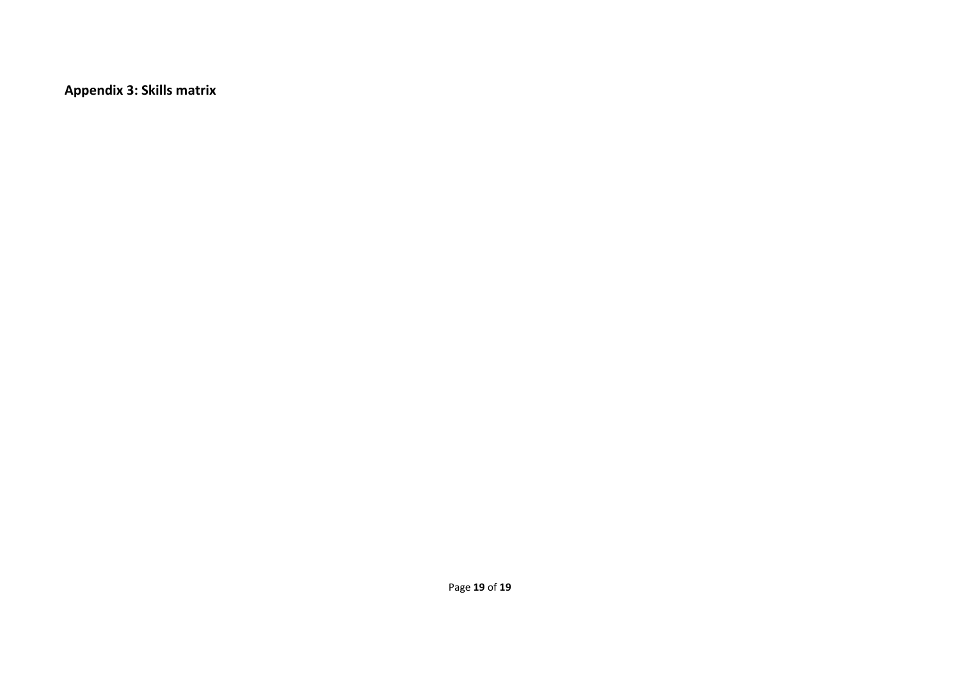**Appendix 3: Skills matrix**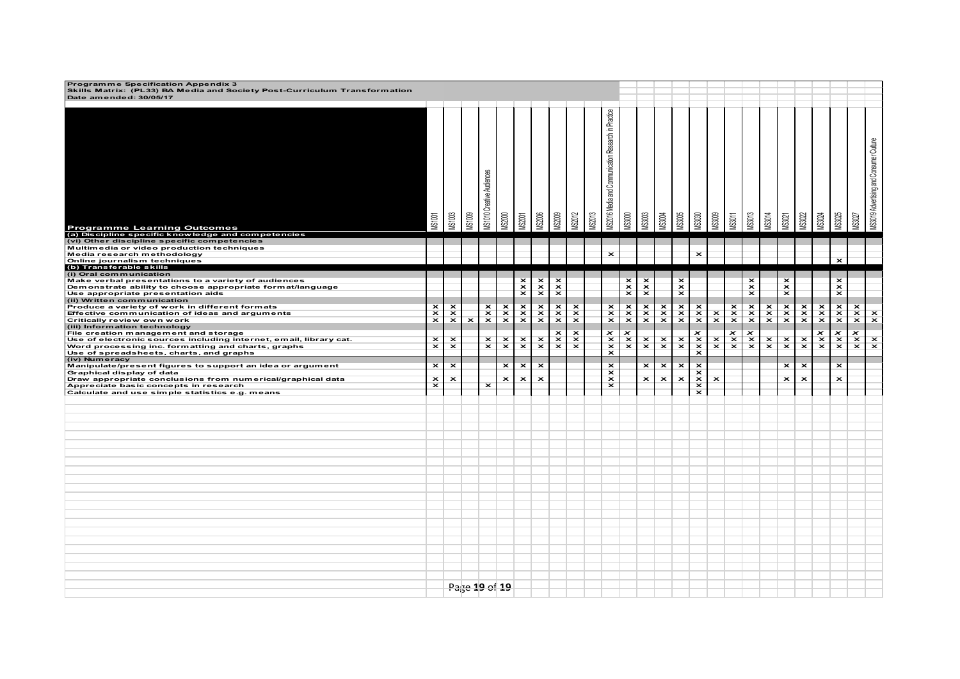| Programme Specification Appendix 3<br>Skills Matrix: (PL33) BA Media and Society Post-Curriculum Transformation<br>Date amended: 30/05/17 |                         |                           |                         |                                  |                                 |                         |                                 |                         |                                 |                |                                                     |                         |                           |                                 |                         |                                 |                                 |                                 |                         |                                 |                           |                                 |               |                         |                           |                                         |
|-------------------------------------------------------------------------------------------------------------------------------------------|-------------------------|---------------------------|-------------------------|----------------------------------|---------------------------------|-------------------------|---------------------------------|-------------------------|---------------------------------|----------------|-----------------------------------------------------|-------------------------|---------------------------|---------------------------------|-------------------------|---------------------------------|---------------------------------|---------------------------------|-------------------------|---------------------------------|---------------------------|---------------------------------|---------------|-------------------------|---------------------------|-----------------------------------------|
| <b>Programme Learning Outcomes</b><br>(a) Discipline specific knowledge and competencies                                                  | <b>MS1001</b>           | <b>MS1003</b>             | <b>MS1009</b>           | <b>MS1010 Creative Audiences</b> | <b>VIS2000</b>                  | <b>VIS2001</b>          | <b>AS2006</b>                   | <b>MS2009</b>           | <b>MS2012</b>                   | <b>VIS2013</b> | MS2016 Media and Communication Research in Practice | AS3000                  | <b>VIS3003</b>            | <b>MS3004</b>                   | <b>AS3005</b>           | <b>MS3030</b>                   | AS3009                          | <b>VIS3011</b>                  | <b>VIS3013</b>          | <b>MS3014</b>                   | <b>NS3021</b>             | AS3022                          | <b>MS3024</b> | <b>MS3025</b>           | <b>NS3027</b>             | MS3019 Advertising and Consumer Culture |
| (vi) Other discipline specific competencies<br>Multimedia or video production techniques                                                  |                         |                           |                         |                                  |                                 |                         |                                 |                         |                                 |                |                                                     |                         |                           |                                 |                         |                                 |                                 |                                 |                         |                                 |                           |                                 |               |                         |                           |                                         |
| Media research methodology                                                                                                                |                         |                           |                         |                                  |                                 |                         |                                 |                         |                                 |                | $\overline{\mathbf{x}}$                             |                         |                           |                                 |                         | $\overline{\mathbf{x}}$         |                                 |                                 |                         |                                 |                           |                                 |               |                         |                           |                                         |
| Online journalism techniques<br>(b) Transferable skills                                                                                   |                         |                           |                         |                                  |                                 |                         |                                 |                         |                                 |                |                                                     |                         |                           |                                 |                         |                                 |                                 |                                 |                         |                                 |                           |                                 |               | $\overline{\mathbf{x}}$ |                           |                                         |
| (i) Oral communication<br>Make verbal presentations to a variety of audiences                                                             |                         |                           |                         |                                  |                                 |                         |                                 | ×                       |                                 |                |                                                     |                         | ×                         |                                 | ×                       |                                 |                                 |                                 |                         |                                 | $\boldsymbol{\mathsf{x}}$ |                                 |               |                         |                           |                                         |
| Demonstrate ability to choose appropriate format/language                                                                                 |                         |                           |                         |                                  |                                 | $\mathbf{x}$            | $x \times$                      | $\overline{\mathbf{x}}$ |                                 |                |                                                     | $\mathbf{x}^{\times}$   | $\overline{\mathbf{x}}$   |                                 | $\overline{\mathbf{x}}$ |                                 |                                 |                                 | $\mathbf{x}$            |                                 | $\overline{\mathbf{x}}$   |                                 |               | $\mathbf{x}$            |                           |                                         |
| Use appropriate presentation aids<br>(ii) Written communication                                                                           |                         |                           |                         |                                  |                                 | $\overline{\mathbf{x}}$ |                                 | $\overline{\mathbf{x}}$ |                                 |                |                                                     | $\overline{\mathbf{x}}$ | $\overline{\mathbf{x}}$   |                                 | $\overline{\mathbf{x}}$ |                                 |                                 |                                 | $\overline{\mathbf{x}}$ |                                 | $\overline{\mathbf{x}}$   |                                 |               | $\overline{\mathbf{x}}$ |                           |                                         |
| Produce a variety of work in different formats                                                                                            | $\overline{\mathbf{x}}$ | $\boldsymbol{\mathsf{x}}$ |                         |                                  |                                 |                         |                                 |                         |                                 |                |                                                     |                         |                           |                                 |                         |                                 |                                 |                                 |                         |                                 |                           |                                 |               |                         |                           |                                         |
| Effective communication of ideas and arguments<br>Critically review own work                                                              | $\mathbf{x}$            | $\mathbf{x}$              | $\overline{\mathbf{x}}$ | $\frac{x}{x}$                    | $\frac{x}{x}$                   | $\frac{x}{x}$           | $\frac{x}{x}$                   | $\frac{x}{x}$           | $\frac{x}{x}$                   |                | $\times$                                            | $\frac{x}{x}$           | $\frac{x}{x}$             | $\frac{x}{x}$                   | $\frac{x}{x}$           | $\frac{x}{x}$                   | $\mathbf{x}$                    | $\frac{\mathbf{x}}{\mathbf{x}}$ | $x \times$              | $x \times$                      | $\frac{x}{x}$             | $\frac{x}{x}$                   | $\frac{x}{x}$ | $x \times$              | $x \times$                | $\mathbf{x}$                            |
| (iii) Information technology                                                                                                              |                         |                           |                         |                                  |                                 |                         |                                 |                         |                                 |                |                                                     |                         |                           |                                 |                         |                                 |                                 |                                 |                         |                                 |                           |                                 |               |                         |                           |                                         |
| File creation management and storage<br>Use of electronic sources including internet, email, library cat.                                 | $\overline{\mathbf{x}}$ | $\overline{\mathbf{x}}$   |                         |                                  |                                 |                         |                                 | $\frac{x}{x}$           | $\boldsymbol{\mathsf{x}}$       |                | $\times$ $\times$ $\times$                          | $x \times x$            | $\boldsymbol{\mathsf{x}}$ |                                 |                         | $x \times x$                    |                                 | $\frac{x}{x}$                   | $\frac{x}{x}$           |                                 |                           |                                 | $\frac{x}{x}$ | $\frac{x}{x}$           | $\boldsymbol{\mathsf{x}}$ |                                         |
| Word processing inc. formatting and charts, graphs                                                                                        | $\overline{\mathbf{x}}$ | $\overline{\mathbf{x}}$   |                         | $\frac{\mathsf{x}}{\mathsf{x}}$  | $\frac{\mathsf{x}}{\mathsf{x}}$ | $\mathbf{x}$            | $\frac{\mathsf{x}}{\mathsf{x}}$ |                         | $\frac{\mathsf{x}}{\mathsf{x}}$ |                |                                                     |                         | $\pmb{\times}$            | $\frac{\mathsf{x}}{\mathsf{x}}$ | $\mathbf{x}$            |                                 | $\frac{\mathbf{x}}{\mathbf{x}}$ |                                 |                         | $\frac{\mathsf{x}}{\mathsf{x}}$ | $\mathbf{x}$              | $\frac{\mathbf{x}}{\mathbf{x}}$ |               |                         | $\mathbf{x}$              | $\frac{\mathsf{x}}{\mathsf{x}}$         |
| Use of spreadsheets, charts, and graphs<br>(iv) Numeracy                                                                                  |                         |                           |                         |                                  |                                 |                         |                                 |                         |                                 |                |                                                     |                         |                           |                                 |                         |                                 |                                 |                                 |                         |                                 |                           |                                 |               |                         |                           |                                         |
| Manipulate/present figures to support an idea or argument                                                                                 | $\overline{\mathbf{x}}$ | ×                         |                         |                                  | $\overline{\mathbf{x}}$         | $\pmb{\times}$          | ×                               |                         |                                 |                | ×                                                   |                         | ×                         | $\pmb{\times}$                  | $\pmb{\times}$          | $\pmb{\times}$                  |                                 |                                 |                         |                                 | $\overline{\mathbf{x}}$   | ×                               |               | $\overline{\mathbf{x}}$ |                           |                                         |
| Graphical display of data<br>Draw appropriate conclusions from numerical/graphical data                                                   | $\overline{\mathbf{x}}$ | $\overline{\mathbf{x}}$   |                         |                                  | $\mathbf{x}$                    | $\overline{\mathbf{x}}$ | $\overline{\mathbf{x}}$         |                         |                                 |                | $\overline{\mathbf{x}}$<br>$\overline{\mathbf{x}}$  |                         | $\overline{\mathbf{x}}$   | $\overline{\mathbf{x}}$         | $\overline{\mathbf{x}}$ | $\overline{\mathbf{x}}$         | $\overline{\mathbf{x}}$         |                                 |                         |                                 | $\overline{\mathbf{x}}$   | $\overline{\mathbf{x}}$         |               | $\overline{\mathbf{x}}$ |                           |                                         |
| Appreciate basic concepts in research                                                                                                     | $\overline{\mathbf{x}}$ |                           |                         | $\overline{\mathbf{x}}$          |                                 |                         |                                 |                         |                                 |                | $\overline{\mathbf{x}}$                             |                         |                           |                                 |                         | $\frac{\mathsf{x}}{\mathsf{x}}$ |                                 |                                 |                         |                                 |                           |                                 |               |                         |                           |                                         |
| Calculate and use simple statistics e.g. means                                                                                            |                         |                           |                         |                                  |                                 |                         |                                 |                         |                                 |                |                                                     |                         |                           |                                 |                         |                                 |                                 |                                 |                         |                                 |                           |                                 |               |                         |                           |                                         |
|                                                                                                                                           |                         |                           |                         |                                  |                                 |                         |                                 |                         |                                 |                |                                                     |                         |                           |                                 |                         |                                 |                                 |                                 |                         |                                 |                           |                                 |               |                         |                           |                                         |
|                                                                                                                                           |                         |                           |                         |                                  |                                 |                         |                                 |                         |                                 |                |                                                     |                         |                           |                                 |                         |                                 |                                 |                                 |                         |                                 |                           |                                 |               |                         |                           |                                         |
|                                                                                                                                           |                         |                           |                         |                                  |                                 |                         |                                 |                         |                                 |                |                                                     |                         |                           |                                 |                         |                                 |                                 |                                 |                         |                                 |                           |                                 |               |                         |                           |                                         |
|                                                                                                                                           |                         |                           |                         |                                  |                                 |                         |                                 |                         |                                 |                |                                                     |                         |                           |                                 |                         |                                 |                                 |                                 |                         |                                 |                           |                                 |               |                         |                           |                                         |
|                                                                                                                                           |                         |                           |                         |                                  |                                 |                         |                                 |                         |                                 |                |                                                     |                         |                           |                                 |                         |                                 |                                 |                                 |                         |                                 |                           |                                 |               |                         |                           |                                         |
|                                                                                                                                           |                         |                           |                         |                                  |                                 |                         |                                 |                         |                                 |                |                                                     |                         |                           |                                 |                         |                                 |                                 |                                 |                         |                                 |                           |                                 |               |                         |                           |                                         |
|                                                                                                                                           |                         |                           |                         |                                  |                                 |                         |                                 |                         |                                 |                |                                                     |                         |                           |                                 |                         |                                 |                                 |                                 |                         |                                 |                           |                                 |               |                         |                           |                                         |
|                                                                                                                                           |                         |                           |                         |                                  |                                 |                         |                                 |                         |                                 |                |                                                     |                         |                           |                                 |                         |                                 |                                 |                                 |                         |                                 |                           |                                 |               |                         |                           |                                         |
|                                                                                                                                           |                         |                           |                         |                                  |                                 |                         |                                 |                         |                                 |                |                                                     |                         |                           |                                 |                         |                                 |                                 |                                 |                         |                                 |                           |                                 |               |                         |                           |                                         |
|                                                                                                                                           |                         |                           |                         |                                  |                                 |                         |                                 |                         |                                 |                |                                                     |                         |                           |                                 |                         |                                 |                                 |                                 |                         |                                 |                           |                                 |               |                         |                           |                                         |
|                                                                                                                                           |                         |                           |                         |                                  |                                 |                         |                                 |                         |                                 |                |                                                     |                         |                           |                                 |                         |                                 |                                 |                                 |                         |                                 |                           |                                 |               |                         |                           |                                         |
|                                                                                                                                           |                         |                           |                         |                                  |                                 |                         |                                 |                         |                                 |                |                                                     |                         |                           |                                 |                         |                                 |                                 |                                 |                         |                                 |                           |                                 |               |                         |                           |                                         |
|                                                                                                                                           |                         |                           |                         |                                  |                                 |                         |                                 |                         |                                 |                |                                                     |                         |                           |                                 |                         |                                 |                                 |                                 |                         |                                 |                           |                                 |               |                         |                           |                                         |
|                                                                                                                                           |                         |                           |                         |                                  |                                 |                         |                                 |                         |                                 |                |                                                     |                         |                           |                                 |                         |                                 |                                 |                                 |                         |                                 |                           |                                 |               |                         |                           |                                         |
|                                                                                                                                           |                         |                           |                         |                                  |                                 |                         |                                 |                         |                                 |                |                                                     |                         |                           |                                 |                         |                                 |                                 |                                 |                         |                                 |                           |                                 |               |                         |                           |                                         |
|                                                                                                                                           |                         |                           |                         |                                  |                                 |                         |                                 |                         |                                 |                |                                                     |                         |                           |                                 |                         |                                 |                                 |                                 |                         |                                 |                           |                                 |               |                         |                           |                                         |
|                                                                                                                                           |                         |                           |                         |                                  |                                 |                         |                                 |                         |                                 |                |                                                     |                         |                           |                                 |                         |                                 |                                 |                                 |                         |                                 |                           |                                 |               |                         |                           |                                         |
|                                                                                                                                           |                         |                           |                         |                                  |                                 |                         |                                 |                         |                                 |                |                                                     |                         |                           |                                 |                         |                                 |                                 |                                 |                         |                                 |                           |                                 |               |                         |                           |                                         |
|                                                                                                                                           |                         |                           | <u>Page 19 of 19</u>    |                                  |                                 |                         |                                 |                         |                                 |                |                                                     |                         |                           |                                 |                         |                                 |                                 |                                 |                         |                                 |                           |                                 |               |                         |                           |                                         |